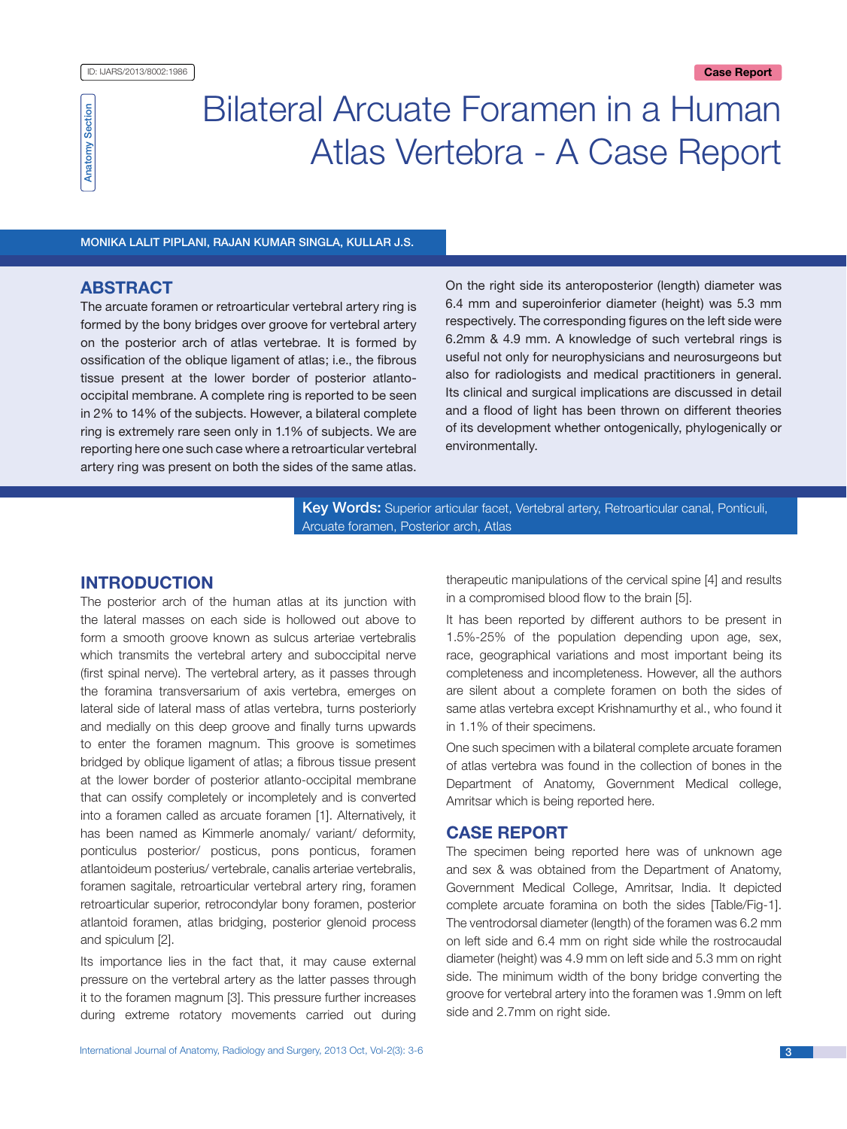

# Bilateral Arcuate Foramen in a Human Atlas Vertebra - A Case Report

Monika Lalit Piplani, Rajan Kumar Singla, Kullar J.S.

# **ABSTRACT**

The arcuate foramen or retroarticular vertebral artery ring is formed by the bony bridges over groove for vertebral artery on the posterior arch of atlas vertebrae. It is formed by ossification of the oblique ligament of atlas; i.e., the fibrous tissue present at the lower border of posterior atlantooccipital membrane. A complete ring is reported to be seen in 2% to 14% of the subjects. However, a bilateral complete ring is extremely rare seen only in 1.1% of subjects. We are reporting here one such case where a retroarticular vertebral artery ring was present on both the sides of the same atlas.

On the right side its anteroposterior (length) diameter was 6.4 mm and superoinferior diameter (height) was 5.3 mm respectively. The corresponding figures on the left side were 6.2mm & 4.9 mm. A knowledge of such vertebral rings is useful not only for neurophysicians and neurosurgeons but also for radiologists and medical practitioners in general. Its clinical and surgical implications are discussed in detail and a flood of light has been thrown on different theories of its development whether ontogenically, phylogenically or environmentally.

Key Words: Superior articular facet, Vertebral artery, Retroarticular canal, Ponticuli, Arcuate foramen, Posterior arch, Atlas

# **INTRODUCTION**

The posterior arch of the human atlas at its junction with the lateral masses on each side is hollowed out above to form a smooth groove known as sulcus arteriae vertebralis which transmits the vertebral artery and suboccipital nerve (first spinal nerve). The vertebral artery, as it passes through the foramina transversarium of axis vertebra, emerges on lateral side of lateral mass of atlas vertebra, turns posteriorly and medially on this deep groove and finally turns upwards to enter the foramen magnum. This groove is sometimes bridged by oblique ligament of atlas; a fibrous tissue present at the lower border of posterior atlanto-occipital membrane that can ossify completely or incompletely and is converted into a foramen called as arcuate foramen [1]. Alternatively, it has been named as Kimmerle anomaly/ variant/ deformity, ponticulus posterior/ posticus, pons ponticus, foramen atlantoideum posterius/ vertebrale, canalis arteriae vertebralis, foramen sagitale, retroarticular vertebral artery ring, foramen retroarticular superior, retrocondylar bony foramen, posterior atlantoid foramen, atlas bridging, posterior glenoid process and spiculum [2].

Its importance lies in the fact that, it may cause external pressure on the vertebral artery as the latter passes through it to the foramen magnum [3]. This pressure further increases during extreme rotatory movements carried out during therapeutic manipulations of the cervical spine [4] and results in a compromised blood flow to the brain [5].

It has been reported by different authors to be present in 1.5%-25% of the population depending upon age, sex, race, geographical variations and most important being its completeness and incompleteness. However, all the authors are silent about a complete foramen on both the sides of same atlas vertebra except Krishnamurthy et al., who found it in 1.1% of their specimens.

One such specimen with a bilateral complete arcuate foramen of atlas vertebra was found in the collection of bones in the Department of Anatomy, Government Medical college, Amritsar which is being reported here.

# **CASE REPORT**

The specimen being reported here was of unknown age and sex & was obtained from the Department of Anatomy, Government Medical College, Amritsar, India. It depicted complete arcuate foramina on both the sides [Table/Fig-1]. The ventrodorsal diameter (length) of the foramen was 6.2 mm on left side and 6.4 mm on right side while the rostrocaudal diameter (height) was 4.9 mm on left side and 5.3 mm on right side. The minimum width of the bony bridge converting the groove for vertebral artery into the foramen was 1.9mm on left side and 2.7mm on right side.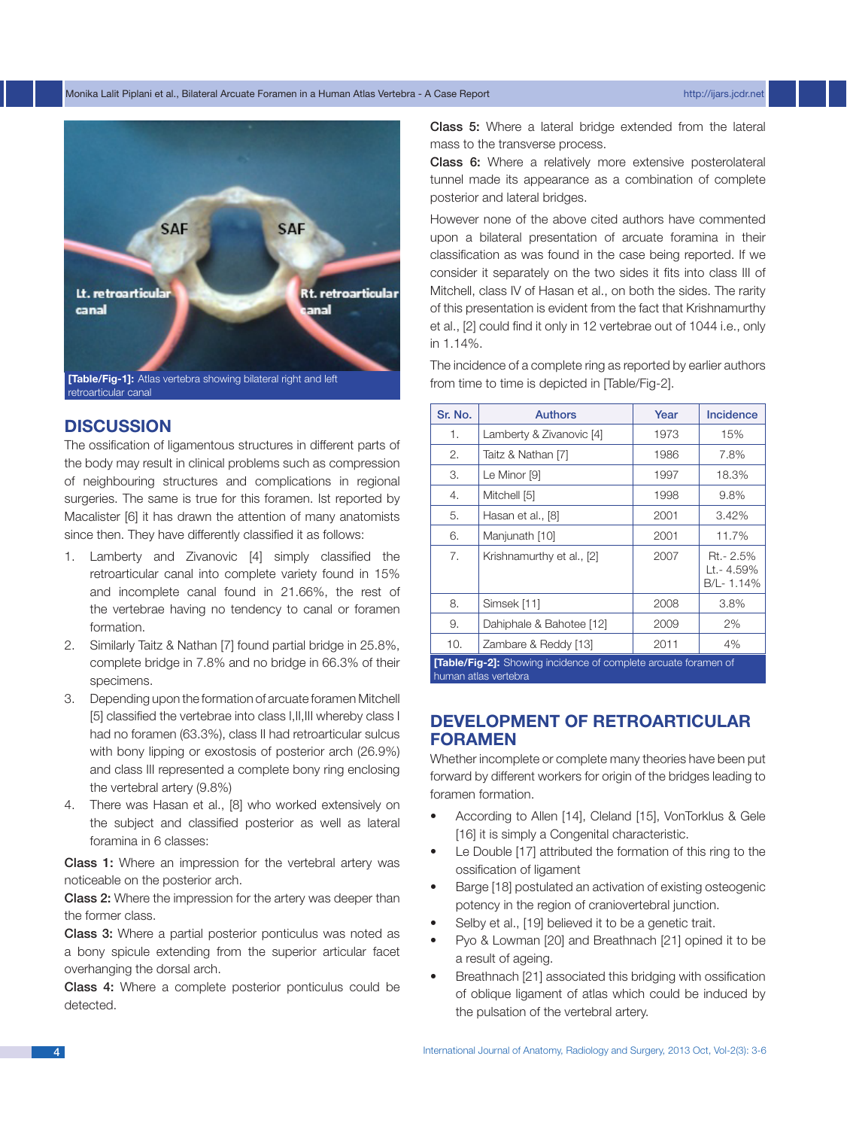### Monika Lalit Piplani et al., Bilateral Arcuate Foramen in a Human Atlas Vertebra - A Case Report http://ijars.jcdr.net



# **DISCUSSION**

The ossification of ligamentous structures in different parts of the body may result in clinical problems such as compression of neighbouring structures and complications in regional surgeries. The same is true for this foramen. Ist reported by Macalister [6] it has drawn the attention of many anatomists since then. They have differently classified it as follows:

- 1. Lamberty and Zivanovic [4] simply classified the retroarticular canal into complete variety found in 15% and incomplete canal found in 21.66%, the rest of the vertebrae having no tendency to canal or foramen formation.
- 2. Similarly Taitz & Nathan [7] found partial bridge in 25.8%, complete bridge in 7.8% and no bridge in 66.3% of their specimens.
- 3. Depending upon the formation of arcuate foramen Mitchell [5] classified the vertebrae into class I,II,III whereby class I had no foramen (63.3%), class II had retroarticular sulcus with bony lipping or exostosis of posterior arch (26.9%) and class III represented a complete bony ring enclosing the vertebral artery (9.8%)
- 4. There was Hasan et al., [8] who worked extensively on the subject and classified posterior as well as lateral foramina in 6 classes:

Class 1: Where an impression for the vertebral artery was noticeable on the posterior arch.

Class 2: Where the impression for the artery was deeper than the former class.

Class 3: Where a partial posterior ponticulus was noted as a bony spicule extending from the superior articular facet overhanging the dorsal arch.

Class 4: Where a complete posterior ponticulus could be detected.

Class 5: Where a lateral bridge extended from the lateral mass to the transverse process.

Class 6: Where a relatively more extensive posterolateral tunnel made its appearance as a combination of complete posterior and lateral bridges.

However none of the above cited authors have commented upon a bilateral presentation of arcuate foramina in their classification as was found in the case being reported. If we consider it separately on the two sides it fits into class III of Mitchell, class IV of Hasan et al., on both the sides. The rarity of this presentation is evident from the fact that Krishnamurthy et al., [2] could find it only in 12 vertebrae out of 1044 i.e., only in 1.14%.

The incidence of a complete ring as reported by earlier authors

| Sr. No.                                                                | <b>Authors</b>            | Year | Incidence                            |
|------------------------------------------------------------------------|---------------------------|------|--------------------------------------|
| 1.                                                                     | Lamberty & Zivanovic [4]  | 1973 | 15%                                  |
| 2.                                                                     | Taitz & Nathan [7]        | 1986 | 7.8%                                 |
| З.                                                                     | Le Minor [9]              | 1997 | 18.3%                                |
| 4.                                                                     | Mitchell [5]              | 1998 | 9.8%                                 |
| 5.                                                                     | Hasan et al., [8]         | 2001 | 3.42%                                |
| 6.                                                                     | Manjunath [10]            | 2001 | 11.7%                                |
| 7.                                                                     | Krishnamurthy et al., [2] | 2007 | Rt.- 2.5%<br>Lt.- 4.59%<br>B/L-1.14% |
| 8.                                                                     | Simsek [11]               | 2008 | 3.8%                                 |
| 9.                                                                     | Dahiphale & Bahotee [12]  | 2009 | 2%                                   |
| 10.                                                                    | Zambare & Reddy [13]      | 2011 | 4%                                   |
| <b>[Table/Fig-2]:</b> Showing incidence of complete arcuate foramen of |                           |      |                                      |

human atlas vertebra

# **DEVELOPMENT OF RETROARTICULAR FORAMEN**

Whether incomplete or complete many theories have been put forward by different workers for origin of the bridges leading to foramen formation.

- According to Allen [14], Cleland [15], VonTorklus & Gele [16] it is simply a Congenital characteristic.
- Le Double [17] attributed the formation of this ring to the ossification of ligament
- Barge [18] postulated an activation of existing osteogenic potency in the region of craniovertebral junction.
- Selby et al., [19] believed it to be a genetic trait.
- Pyo & Lowman [20] and Breathnach [21] opined it to be a result of ageing.
- Breathnach [21] associated this bridging with ossification of oblique ligament of atlas which could be induced by the pulsation of the vertebral artery.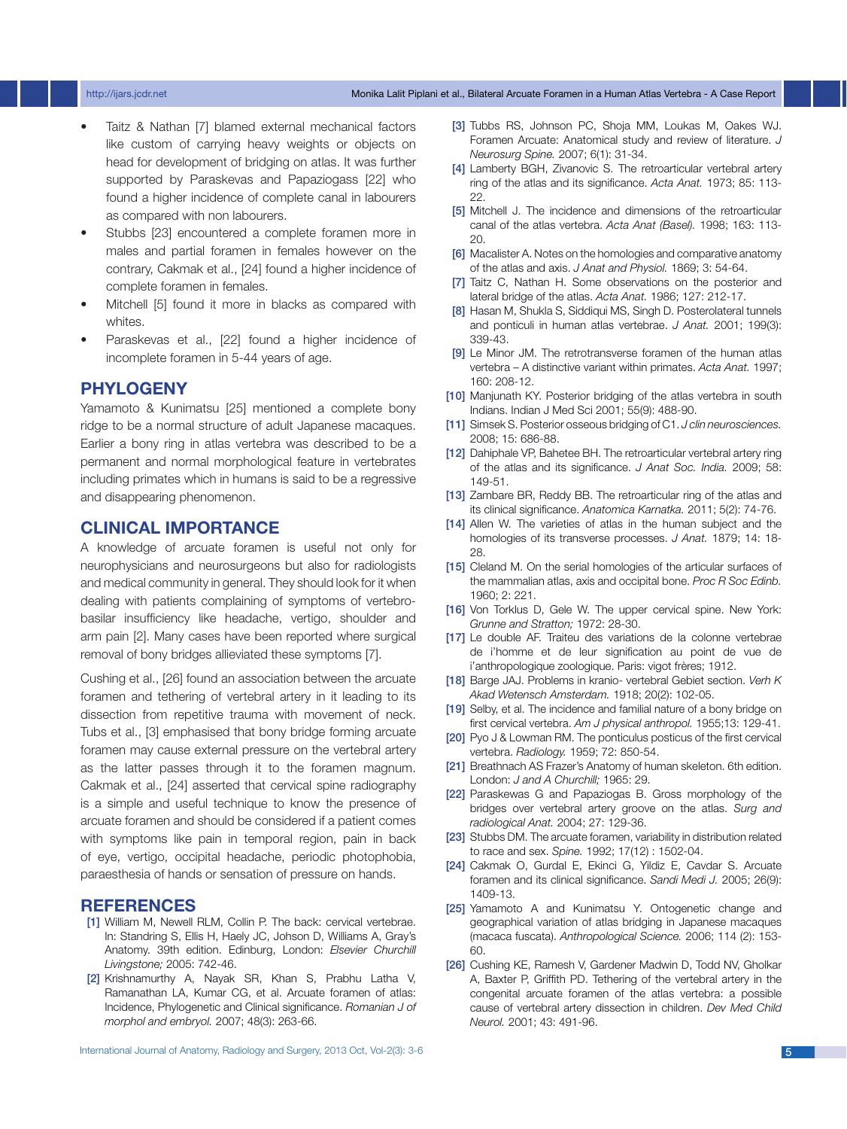### http://ijars.jcdr.net Monika Lalit Piplani et al., Bilateral Arcuate Foramen in a Human Atlas Vertebra - A Case Report

- Taitz & Nathan [7] blamed external mechanical factors like custom of carrying heavy weights or objects on head for development of bridging on atlas. It was further supported by Paraskevas and Papaziogass [22] who found a higher incidence of complete canal in labourers as compared with non labourers.
- Stubbs [23] encountered a complete foramen more in males and partial foramen in females however on the contrary, Cakmak et al., [24] found a higher incidence of complete foramen in females.
- Mitchell [5] found it more in blacks as compared with whites.
- Paraskevas et al., [22] found a higher incidence of incomplete foramen in 5-44 years of age.

## **PHYLOGENY**

Yamamoto & Kunimatsu [25] mentioned a complete bony ridge to be a normal structure of adult Japanese macaques. Earlier a bony ring in atlas vertebra was described to be a permanent and normal morphological feature in vertebrates including primates which in humans is said to be a regressive and disappearing phenomenon.

# **CLINICAL IMPORTANCE**

A knowledge of arcuate foramen is useful not only for neurophysicians and neurosurgeons but also for radiologists and medical community in general. They should look for it when dealing with patients complaining of symptoms of vertebrobasilar insufficiency like headache, vertigo, shoulder and arm pain [2]. Many cases have been reported where surgical removal of bony bridges allieviated these symptoms [7].

Cushing et al., [26] found an association between the arcuate foramen and tethering of vertebral artery in it leading to its dissection from repetitive trauma with movement of neck. Tubs et al., [3] emphasised that bony bridge forming arcuate foramen may cause external pressure on the vertebral artery as the latter passes through it to the foramen magnum. Cakmak et al., [24] asserted that cervical spine radiography is a simple and useful technique to know the presence of arcuate foramen and should be considered if a patient comes with symptoms like pain in temporal region, pain in back of eye, vertigo, occipital headache, periodic photophobia, paraesthesia of hands or sensation of pressure on hands.

### **REFERENCES**

- [1] William M, Newell RLM, Collin P. The back: cervical vertebrae. In: Standring S, Ellis H, Haely JC, Johson D, Williams A, Gray's Anatomy. 39th edition. Edinburg, London: *Elsevier Churchill Livingstone;* 2005: 742-46.
- [2] Krishnamurthy A, Nayak SR, Khan S, Prabhu Latha V, Ramanathan LA, Kumar CG, et al. Arcuate foramen of atlas: Incidence, Phylogenetic and Clinical significance. *Romanian J of morphol and embryol.* 2007; 48(3): 263-66.

International Journal of Anatomy, Radiology and Surgery, 2013 Oct, Vol-2(3): 3-6 5

- [3] Tubbs RS, Johnson PC, Shoja MM, Loukas M, Oakes WJ. Foramen Arcuate: Anatomical study and review of literature. *J Neurosurg Spine.* 2007; 6(1): 31-34.
- [4] Lamberty BGH, Zivanovic S. The retroarticular vertebral artery ring of the atlas and its significance. *Acta Anat.* 1973; 85: 113- 22.
- [5] Mitchell J. The incidence and dimensions of the retroarticular canal of the atlas vertebra. *Acta Anat (Basel).* 1998; 163: 113- 20.
- [6] Macalister A. Notes on the homologies and comparative anatomy of the atlas and axis. *J Anat and Physiol.* 1869; 3: 54-64.
- [7] Taitz C, Nathan H. Some observations on the posterior and lateral bridge of the atlas. *Acta Anat.* 1986; 127: 212-17.
- [8] Hasan M, Shukla S, Siddiqui MS, Singh D. Posterolateral tunnels and ponticuli in human atlas vertebrae. *J Anat.* 2001; 199(3): 339-43.
- [9] Le Minor JM. The retrotransverse foramen of the human atlas vertebra – A distinctive variant within primates. *Acta Anat.* 1997; 160: 208-12.
- [10] Manjunath KY. Posterior bridging of the atlas vertebra in south Indians. Indian J Med Sci 2001; 55(9): 488-90.
- [11] Simsek S. Posterior osseous bridging of C1. *J clin neurosciences.* 2008; 15: 686-88.
- [12] Dahiphale VP, Bahetee BH. The retroarticular vertebral artery ring of the atlas and its significance. *J Anat Soc. India.* 2009; 58: 149-51.
- [13] Zambare BR, Reddy BB. The retroarticular ring of the atlas and its clinical significance. *Anatomica Karnatka.* 2011; 5(2): 74-76.
- [14] Allen W. The varieties of atlas in the human subject and the homologies of its transverse processes. *J Anat.* 1879; 14: 18- 28.
- [15] Cleland M. On the serial homologies of the articular surfaces of the mammalian atlas, axis and occipital bone. *Proc R Soc Edinb.* 1960; 2: 221.
- [16] Von Torklus D, Gele W. The upper cervical spine. New York: *Grunne and Stratton;* 1972: 28-30.
- [17] Le double AF. Traiteu des variations de la colonne vertebrae de i'homme et de leur signification au point de vue de i'anthropologique zoologique. Paris: vigot frères; 1912.
- [18] Barge JAJ. Problems in kranio- vertebral Gebiet section. *Verh K Akad Wetensch Amsterdam.* 1918; 20(2): 102-05.
- [19] Selby, et al. The incidence and familial nature of a bony bridge on first cervical vertebra. *Am J physical anthropol.* 1955;13: 129-41.
- [20] Pyo J & Lowman RM. The ponticulus posticus of the first cervical vertebra. *Radiology.* 1959; 72: 850-54.
- [21] Breathnach AS Frazer's Anatomy of human skeleton. 6th edition. London: *J and A Churchill;* 1965: 29.
- [22] Paraskewas G and Papaziogas B. Gross morphology of the bridges over vertebral artery groove on the atlas. *Surg and radiological Anat.* 2004; 27: 129-36.
- [23] Stubbs DM. The arcuate foramen, variability in distribution related to race and sex. *Spine.* 1992; 17(12) : 1502-04.
- [24] Cakmak O, Gurdal E, Ekinci G, Yildiz E, Cavdar S. Arcuate foramen and its clinical significance. *Sandi Medi J.* 2005; 26(9): 1409-13.
- [25] Yamamoto A and Kunimatsu Y. Ontogenetic change and geographical variation of atlas bridging in Japanese macaques (macaca fuscata). *Anthropological Science.* 2006; 114 (2): 153- 60.
- [26] Cushing KE, Ramesh V, Gardener Madwin D, Todd NV, Gholkar A, Baxter P, Griffith PD. Tethering of the vertebral artery in the congenital arcuate foramen of the atlas vertebra: a possible cause of vertebral artery dissection in children. *Dev Med Child Neurol.* 2001; 43: 491-96.